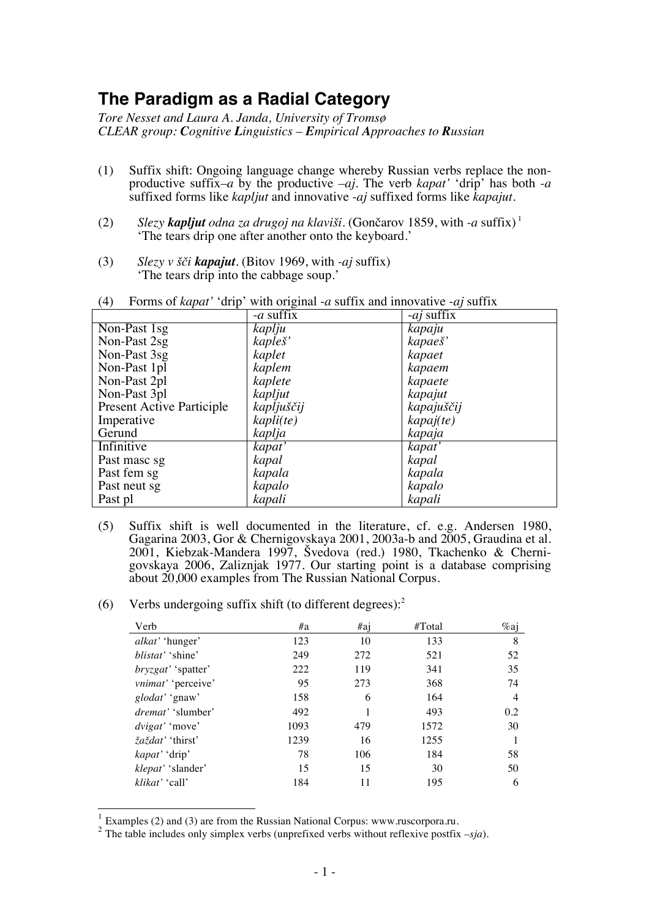## **The Paradigm as a Radial Category**

*Tore Nesset and Laura A. Janda, University of Tromsø CLEAR group: Cognitive Linguistics – Empirical Approaches to Russian*

- (1) Suffix shift: Ongoing language change whereby Russian verbs replace the nonproductive suffix*–a* by the productive *–aj*. The verb *kapat'* 'drip' has both *-a* suffixed forms like *kapljut* and innovative -*aj* suffixed forms like *kapajut*.
- (2) *Slezy kapljut odna za drugoj na klaviši.* (Gončarov 1859, with *-a* suffix) <sup>1</sup> 'The tears drip one after another onto the keyboard.'
- (3) *Slezy v šči kapajut.* (Bitov 1969, with *-aj* suffix) 'The tears drip into the cabbage soup.'

|                                  | $\circ$     |              |
|----------------------------------|-------------|--------------|
|                                  | $-a$ suffix | $-aj$ suffix |
| Non-Past 1sg                     | kaplju      | kapaju       |
| Non-Past 2sg                     | kapleš'     | kapaeš'      |
| Non-Past 3sg                     | kaplet      | kapaet       |
| Non-Past 1pl                     | kaplem      | kapaem       |
| Non-Past 2pl                     | kaplete     | kapaete      |
| Non-Past 3pl                     | kapljut     | kapajut      |
| <b>Present Active Participle</b> | kapljuščij  | kapajuščij   |
| Imperative                       | kapli(te)   | kapaj(te)    |
| Gerund                           | kaplja      | kapaja       |
| Infinitive                       | kapat'      | kapat'       |
| Past mase sg                     | kapal       | kapal        |
| Past fem sg                      | kapala      | kapala       |
| Past neut sg                     | kapalo      | kapalo       |
| Past pl                          | kapali      | kapali       |

(4) Forms of *kapat'* 'drip' with original -*a* suffix and innovative -*aj* suffix

- (5) Suffix shift is well documented in the literature, cf. e.g. Andersen 1980, Gagarina 2003, Gor & Chernigovskaya 2001, 2003a-b and 2005, Graudina et al. 2001, Kiebzak-Mandera 1997, Švedova (red.) 1980, Tkachenko & Chernigovskaya 2006, Zaliznjak 1977. Our starting point is a database comprising about 20,000 examples from The Russian National Corpus.
- (6) Verbs undergoing suffix shift (to different degrees): $2$

| Verb                     | #a   | $\#$ ai | $\#\text{Total}$ | $\%$ aj        |
|--------------------------|------|---------|------------------|----------------|
| <i>alkat'</i> 'hunger'   | 123  | 10      | 133              | 8              |
| <i>blistat'</i> 'shine'  | 249  | 272     | 521              | 52             |
| bryzgat' 'spatter'       | 222  | 119     | 341              | 35             |
| vnimat' 'perceive'       | 95   | 273     | 368              | 74             |
| glodat' 'gnaw'           | 158  | 6       | 164              | $\overline{4}$ |
| <i>dremat'</i> 'slumber' | 492  |         | 493              | 0.2            |
| <i>dvigat'</i> 'move'    | 1093 | 479     | 1572             | 30             |
| <i>žaždať</i> 'thirst'   | 1239 | 16      | 1255             |                |
| kapat' 'drip'            | 78   | 106     | 184              | 58             |
| klepat' 'slander'        | 15   | 15      | 30               | 50             |
| klikat' 'call'           | 184  | 11      | 195              | 6              |

 $1$  Examples (2) and (3) are from the Russian National Corpus: www.ruscorpora.ru.

<sup>2</sup> The table includes only simplex verbs (unprefixed verbs without reflexive postfix *–sja*).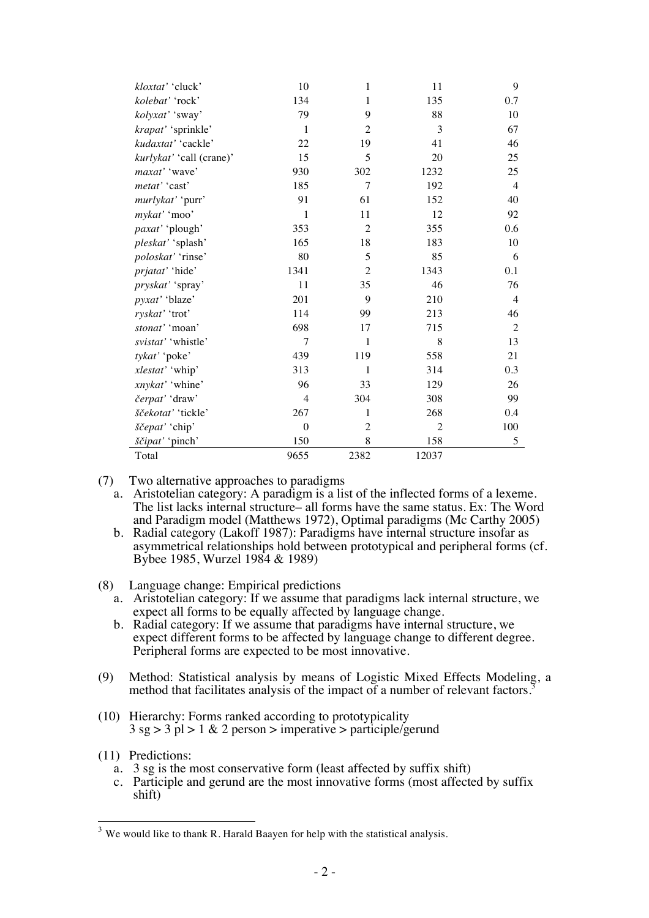| kloxtat' 'cluck'         | 10               | $\mathbf{1}$   | 11             | 9              |
|--------------------------|------------------|----------------|----------------|----------------|
| kolebat' 'rock'          | 134              | 1              | 135            | 0.7            |
| kolyxat' 'sway'          | 79               | 9              | 88             | 10             |
| krapat' 'sprinkle'       | 1                | $\overline{2}$ | 3              | 67             |
| kudaxtat' 'cackle'       | 22               | 19             | 41             | 46             |
| kurlykat' 'call (crane)' | 15               | 5              | 20             | 25             |
| maxat' 'wave'            | 930              | 302            | 1232           | 25             |
| metat' 'cast'            | 185              | 7              | 192            | $\overline{4}$ |
| murlykat' 'purr'         | 91               | 61             | 152            | 40             |
| mykat' 'moo'             | 1                | 11             | 12             | 92             |
| paxat' 'plough'          | 353              | $\overline{2}$ | 355            | 0.6            |
| pleskat' 'splash'        | 165              | 18             | 183            | 10             |
| poloskat' 'rinse'        | 80               | 5              | 85             | 6              |
| prjatat' 'hide'          | 1341             | $\overline{2}$ | 1343           | 0.1            |
| pryskat' 'spray'         | 11               | 35             | 46             | 76             |
| pyxat' 'blaze'           | 201              | 9              | 210            | $\overline{4}$ |
| ryskat' 'trot'           | 114              | 99             | 213            | 46             |
| stonat' 'moan'           | 698              | 17             | 715            | $\overline{2}$ |
| svistat' 'whistle'       | 7                | 1              | 8              | 13             |
| tykat' 'poke'            | 439              | 119            | 558            | 21             |
| xlestat' 'whip'          | 313              | 1              | 314            | 0.3            |
| xnykat' 'whine'          | 96               | 33             | 129            | 26             |
| čerpat' 'draw'           | $\overline{4}$   | 304            | 308            | 99             |
| ščekotať 'tickle'        | 267              | 1              | 268            | 0.4            |
| ščepat' 'chip'           | $\boldsymbol{0}$ | $\overline{2}$ | $\overline{2}$ | 100            |
| ščipat' 'pinch'          | 150              | 8              | 158            | 5              |
| Total                    | 9655             | 2382           | 12037          |                |

- (7) Two alternative approaches to paradigms
	- a. Aristotelian category: A paradigm is a list of the inflected forms of a lexeme. The list lacks internal structure– all forms have the same status. Ex: The Word and Paradigm model (Matthews 1972), Optimal paradigms (Mc Carthy 2005)
	- b. Radial category (Lakoff 1987): Paradigms have internal structure insofar as asymmetrical relationships hold between prototypical and peripheral forms (cf. Bybee 1985, Wurzel 1984 & 1989)
- (8) Language change: Empirical predictions
	- a. Aristotelian category: If we assume that paradigms lack internal structure, we expect all forms to be equally affected by language change.
	- b. Radial category: If we assume that paradigms have internal structure, we expect different forms to be affected by language change to different degree. Peripheral forms are expected to be most innovative.
- (9) Method: Statistical analysis by means of Logistic Mixed Effects Modeling, a method that facilitates analysis of the impact of a number of relevant factors.<sup>3</sup>
- (10) Hierarchy: Forms ranked according to prototypicality  $3$  sg  $> 3$  pl  $> 1$  & 2 person  $>$  imperative  $>$  participle/gerund
- (11) Predictions:
	- a. 3 sg is the most conservative form (least affected by suffix shift)
	- c. Participle and gerund are the most innovative forms (most affected by suffix shift)

 $3$  We would like to thank R. Harald Baayen for help with the statistical analysis.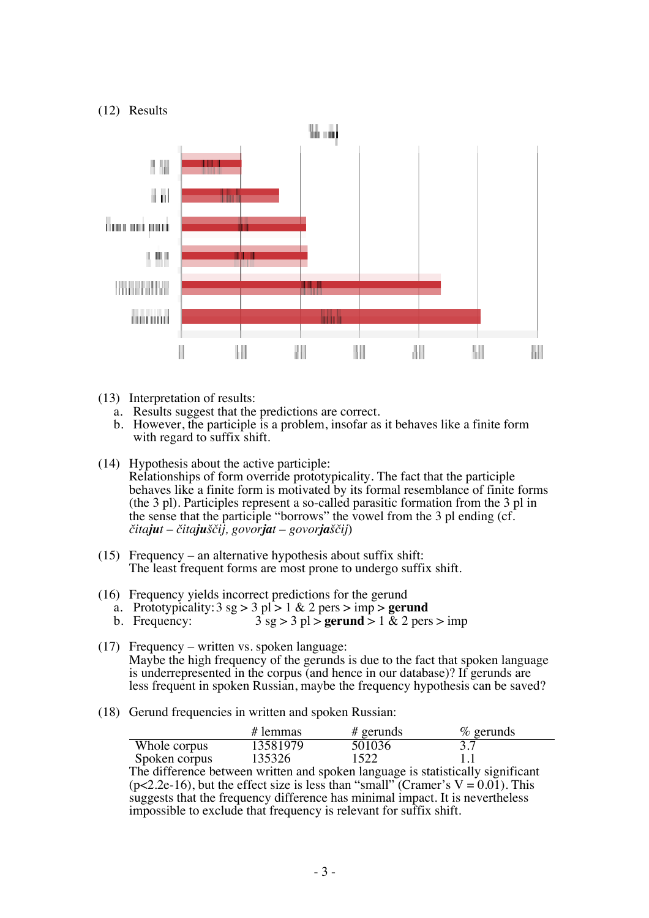



- (13) Interpretation of results:
	- a. Results suggest that the predictions are correct.
	- b. However, the participle is a problem, insofar as it behaves like a finite form with regard to suffix shift.
- (14) Hypothesis about the active participle: Relationships of form override prototypicality. The fact that the participle behaves like a finite form is motivated by its formal resemblance of finite forms (the 3 pl). Participles represent a so-called parasitic formation from the 3 pl in the sense that the participle "borrows" the vowel from the 3 pl ending (cf. *čitajut – čitajuščij, govorjat – govorjaščij*)
- (15) Frequency an alternative hypothesis about suffix shift: The least frequent forms are most prone to undergo suffix shift.
- (16) Frequency yields incorrect predictions for the gerund
	- a. Prototypicality:  $3 \text{ sg} > 3 \text{ pl} > 1 \& 2 \text{ pers} > \text{imp} > \text{gerund}$
	- b. Frequency:  $3^{3}$ sg > 3 pl > **gerund** > 1 & 2 pers > imp
- (17) Frequency written vs. spoken language: Maybe the high frequency of the gerunds is due to the fact that spoken language is underrepresented in the corpus (and hence in our database)? If gerunds are less frequent in spoken Russian, maybe the frequency hypothesis can be saved?
- (18) Gerund frequencies in written and spoken Russian:

|                                                                                 | $#$ lemmas | # gerunds | $\%$ gerunds                                                                       |  |  |
|---------------------------------------------------------------------------------|------------|-----------|------------------------------------------------------------------------------------|--|--|
| Whole corpus                                                                    | 13581979   | 501036    |                                                                                    |  |  |
| Spoken corpus                                                                   | 135326     | 1522      |                                                                                    |  |  |
| The difference between written and spoken language is statistically significant |            |           |                                                                                    |  |  |
|                                                                                 |            |           | $(p<2.2e-16)$ , but the effect size is less than "small" (Cramer's V = 0.01). This |  |  |

 $(p<2.2e-16)$ , but the effect size is less than "small" (Cramer's  $V = 0.01$ ). This suggests that the frequency difference has minimal impact. It is nevertheless impossible to exclude that frequency is relevant for suffix shift.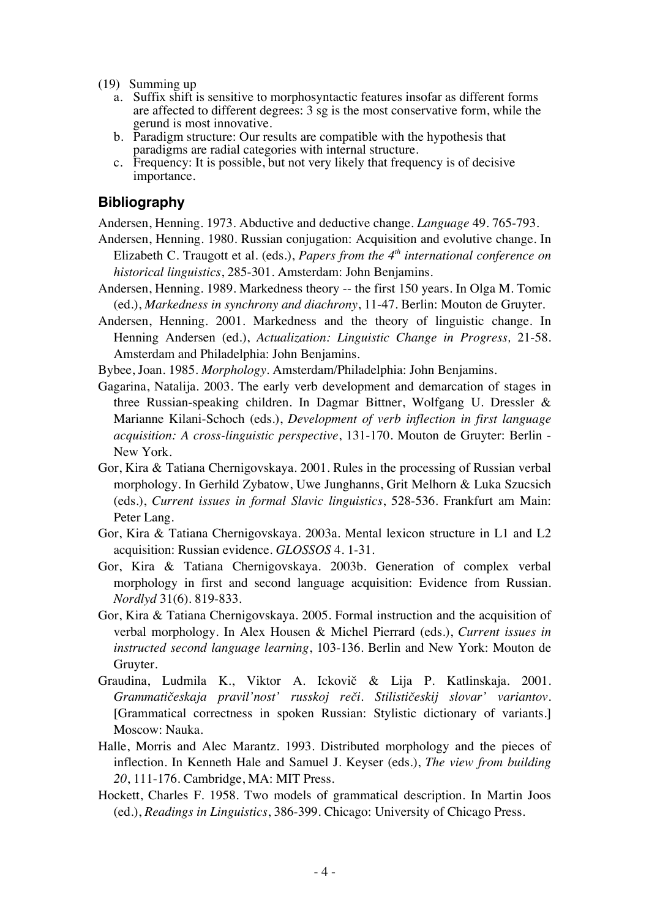- (19) Summing up
	- a. Suffix shift is sensitive to morphosyntactic features insofar as different forms are affected to different degrees: 3 sg is the most conservative form, while the gerund is most innovative.
	- b. Paradigm structure: Our results are compatible with the hypothesis that paradigms are radial categories with internal structure.
	- c. Frequency: It is possible, but not very likely that frequency is of decisive importance.

## **Bibliography**

Andersen, Henning. 1973. Abductive and deductive change. *Language* 49. 765-793.

- Andersen, Henning. 1980. Russian conjugation: Acquisition and evolutive change. In Elizabeth C. Traugott et al. (eds.), *Papers from the 4th international conference on historical linguistics*, 285-301. Amsterdam: John Benjamins.
- Andersen, Henning. 1989. Markedness theory -- the first 150 years. In Olga M. Tomic (ed.), *Markedness in synchrony and diachrony*, 11-47. Berlin: Mouton de Gruyter.
- Andersen, Henning. 2001. Markedness and the theory of linguistic change. In Henning Andersen (ed.), *Actualization: Linguistic Change in Progress,* 21-58. Amsterdam and Philadelphia: John Benjamins.
- Bybee, Joan. 1985. *Morphology*. Amsterdam/Philadelphia: John Benjamins.
- Gagarina, Natalija. 2003. The early verb development and demarcation of stages in three Russian-speaking children. In Dagmar Bittner, Wolfgang U. Dressler & Marianne Kilani-Schoch (eds.), *Development of verb inflection in first language acquisition: A cross-linguistic perspective*, 131-170. Mouton de Gruyter: Berlin - New York.
- Gor, Kira & Tatiana Chernigovskaya. 2001. Rules in the processing of Russian verbal morphology. In Gerhild Zybatow, Uwe Junghanns, Grit Melhorn & Luka Szucsich (eds.), *Current issues in formal Slavic linguistics*, 528-536. Frankfurt am Main: Peter Lang.
- Gor, Kira & Tatiana Chernigovskaya. 2003a. Mental lexicon structure in L1 and L2 acquisition: Russian evidence. *GLOSSOS* 4. 1-31.
- Gor, Kira & Tatiana Chernigovskaya. 2003b. Generation of complex verbal morphology in first and second language acquisition: Evidence from Russian. *Nordlyd* 31(6). 819-833.
- Gor, Kira & Tatiana Chernigovskaya. 2005. Formal instruction and the acquisition of verbal morphology. In Alex Housen & Michel Pierrard (eds.), *Current issues in instructed second language learning*, 103-136. Berlin and New York: Mouton de Gruyter.
- Graudina, Ludmila K., Viktor A. Ickovič & Lija P. Katlinskaja. 2001. *Grammatičeskaja pravil'nost' russkoj reči. Stilističeskij slovar' variantov.* [Grammatical correctness in spoken Russian: Stylistic dictionary of variants.] Moscow: Nauka.
- Halle, Morris and Alec Marantz. 1993. Distributed morphology and the pieces of inflection. In Kenneth Hale and Samuel J. Keyser (eds.), *The view from building 20*, 111-176. Cambridge, MA: MIT Press.
- Hockett, Charles F. 1958. Two models of grammatical description. In Martin Joos (ed.), *Readings in Linguistics*, 386-399. Chicago: University of Chicago Press.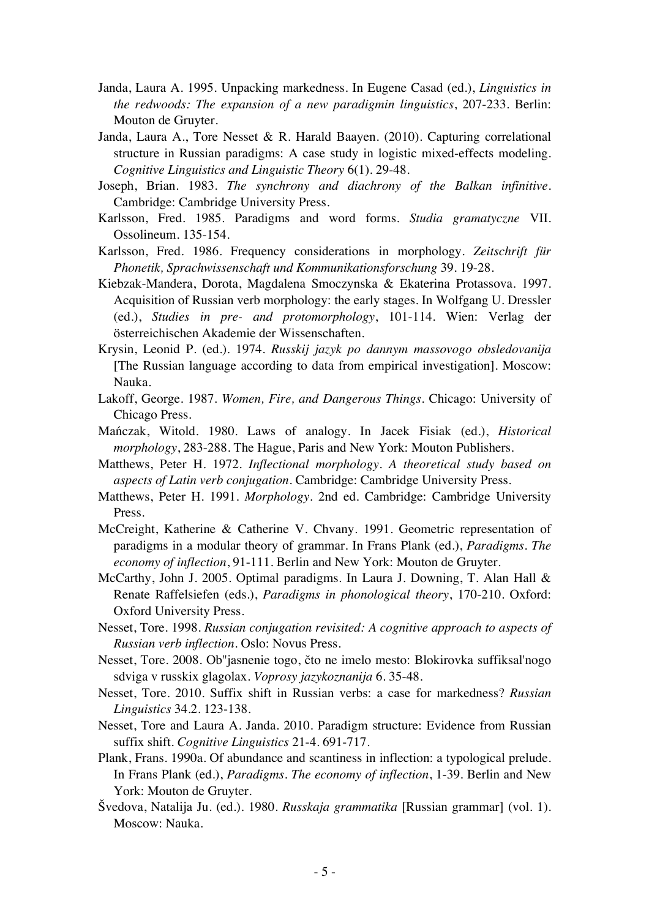- Janda, Laura A. 1995. Unpacking markedness. In Eugene Casad (ed.), *Linguistics in the redwoods: The expansion of a new paradigmin linguistics*, 207-233. Berlin: Mouton de Gruyter.
- Janda, Laura A., Tore Nesset & R. Harald Baayen. (2010). Capturing correlational structure in Russian paradigms: A case study in logistic mixed-effects modeling. *Cognitive Linguistics and Linguistic Theory* 6(1). 29-48.
- Joseph, Brian. 1983. *The synchrony and diachrony of the Balkan infinitive.* Cambridge: Cambridge University Press.
- Karlsson, Fred. 1985. Paradigms and word forms. *Studia gramatyczne* VII. Ossolineum. 135-154.
- Karlsson, Fred. 1986. Frequency considerations in morphology. *Zeitschrift für Phonetik, Sprachwissenschaft und Kommunikationsforschung* 39. 19-28.
- Kiebzak-Mandera, Dorota, Magdalena Smoczynska & Ekaterina Protassova. 1997. Acquisition of Russian verb morphology: the early stages. In Wolfgang U. Dressler (ed.), *Studies in pre- and protomorphology*, 101-114. Wien: Verlag der österreichischen Akademie der Wissenschaften.
- Krysin, Leonid P. (ed.). 1974. *Russkij jazyk po dannym massovogo obsledovanija* [The Russian language according to data from empirical investigation]. Moscow: Nauka.
- Lakoff, George. 1987. *Women, Fire, and Dangerous Things*. Chicago: University of Chicago Press.
- Mańczak, Witold. 1980. Laws of analogy. In Jacek Fisiak (ed.), *Historical morphology*, 283-288. The Hague, Paris and New York: Mouton Publishers.
- Matthews, Peter H. 1972. *Inflectional morphology. A theoretical study based on aspects of Latin verb conjugation*. Cambridge: Cambridge University Press.
- Matthews, Peter H. 1991. *Morphology*. 2nd ed. Cambridge: Cambridge University Press.
- McCreight, Katherine & Catherine V. Chvany. 1991. Geometric representation of paradigms in a modular theory of grammar. In Frans Plank (ed.), *Paradigms. The economy of inflection*, 91-111. Berlin and New York: Mouton de Gruyter.
- McCarthy, John J. 2005. Optimal paradigms. In Laura J. Downing, T. Alan Hall & Renate Raffelsiefen (eds.), *Paradigms in phonological theory*, 170-210. Oxford: Oxford University Press.
- Nesset, Tore. 1998. *Russian conjugation revisited: A cognitive approach to aspects of Russian verb inflection.* Oslo: Novus Press.
- Nesset, Tore. 2008. Ob''jasnenie togo, čto ne imelo mesto: Blokirovka suffiksal'nogo sdviga v russkix glagolax. *Voprosy jazykoznanija* 6. 35-48.
- Nesset, Tore. 2010. Suffix shift in Russian verbs: a case for markedness? *Russian Linguistics* 34.2. 123-138.
- Nesset, Tore and Laura A. Janda. 2010. Paradigm structure: Evidence from Russian suffix shift. *Cognitive Linguistics* 21-4. 691-717.
- Plank, Frans. 1990a. Of abundance and scantiness in inflection: a typological prelude. In Frans Plank (ed.), *Paradigms. The economy of inflection*, 1-39. Berlin and New York: Mouton de Gruyter.
- Švedova, Natalija Ju. (ed.). 1980. *Russkaja grammatika* [Russian grammar] (vol. 1). Moscow: Nauka.